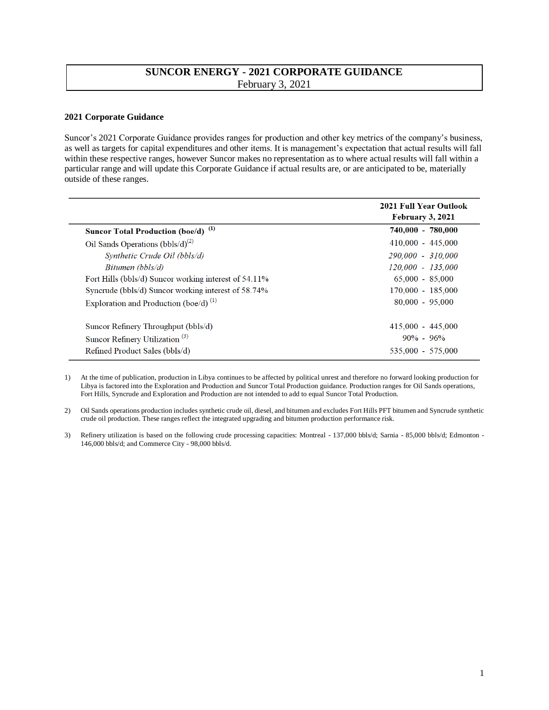## **SUNCOR ENERGY - 2021 CORPORATE GUIDANCE** February 3, 2021

## **2021 Corporate Guidance**

Suncor's 2021 Corporate Guidance provides ranges for production and other key metrics of the company's business, as well as targets for capital expenditures and other items. It is management's expectation that actual results will fall within these respective ranges, however Suncor makes no representation as to where actual results will fall within a particular range and will update this Corporate Guidance if actual results are, or are anticipated to be, materially outside of these ranges.

|                                                       | <b>2021 Full Year Outlook</b><br>February 3, 2021 |
|-------------------------------------------------------|---------------------------------------------------|
| <b>Suncor Total Production (boe/d)</b> <sup>(1)</sup> | 740,000 - 780,000                                 |
| Oil Sands Operations $(bbls/d)^{(2)}$                 | $410,000 - 445,000$                               |
| Synthetic Crude Oil (bbls/d)                          | 290,000 - 310,000                                 |
| Bitumen (bbls/d)                                      | 120,000 - 135,000                                 |
| Fort Hills (bbls/d) Suncor working interest of 54.11% | $65,000 - 85,000$                                 |
| Syncrude (bbls/d) Suncor working interest of 58.74%   | 170,000 - 185,000                                 |
| Exploration and Production (boe/d) $^{(1)}$           | $80,000 - 95,000$                                 |
| Suncor Refinery Throughput (bbls/d)                   | $415,000 - 445,000$                               |
| Suncor Refinery Utilization <sup>(3)</sup>            | $90\% - 96\%$                                     |
| Refined Product Sales (bbls/d)                        | 535,000 - 575,000                                 |

1) At the time of publication, production in Libya continues to be affected by political unrest and therefore no forward looking production for Libya is factored into the Exploration and Production and Suncor Total Production guidance. Production ranges for Oil Sands operations, Fort Hills, Syncrude and Exploration and Production are not intended to add to equal Suncor Total Production.

2) Oil Sands operations production includes synthetic crude oil, diesel, and bitumen and excludes Fort Hills PFT bitumen and Syncrude synthetic crude oil production. These ranges reflect the integrated upgrading and bitumen production performance risk.

3) Refinery utilization is based on the following crude processing capacities: Montreal - 137,000 bbls/d; Sarnia - 85,000 bbls/d; Edmonton - 146,000 bbls/d; and Commerce City - 98,000 bbls/d.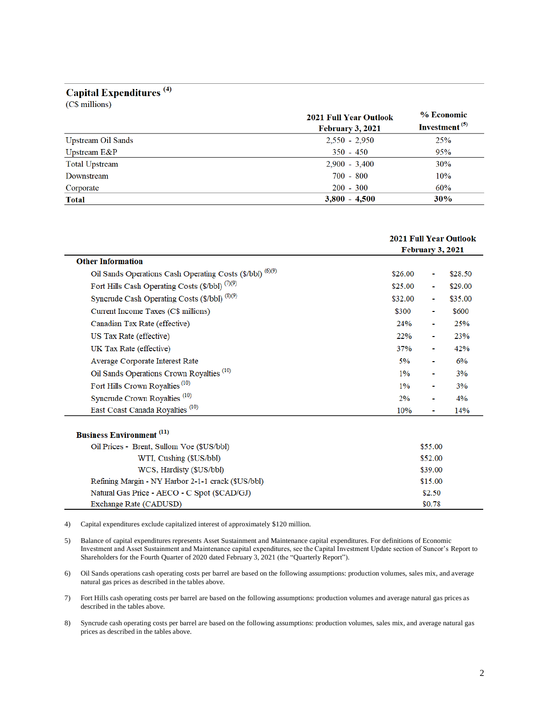## Capital Expenditures<sup>(4)</sup>

(C\$ millions)

|                           | <b>2021 Full Year Outlook</b><br>February 3, 2021 | % Economic<br>Investment <sup>(5)</sup> |
|---------------------------|---------------------------------------------------|-----------------------------------------|
| <b>Upstream Oil Sands</b> | $2,550 - 2,950$                                   | 25%                                     |
| Upstream E&P              | $350 - 450$                                       | 95%                                     |
| <b>Total Upstream</b>     | $2,900 - 3,400$                                   | 30%                                     |
| Downstream                | $700 - 800$                                       | 10%                                     |
| Corporate                 | $200 - 300$                                       | 60%                                     |
| <b>Total</b>              | $3,800 - 4,500$                                   | 30%                                     |

|                                                               | <b>2021 Full Year Outlook</b> |         |         |  |
|---------------------------------------------------------------|-------------------------------|---------|---------|--|
|                                                               | February 3, 2021              |         |         |  |
| <b>Other Information</b>                                      |                               |         |         |  |
| Oil Sands Operations Cash Operating Costs (\$/bbl) (6)(9)     | \$26.00                       | ۰       | \$28.50 |  |
| Fort Hills Cash Operating Costs $(\frac{\rho}{0})^{(\gamma)}$ | \$25.00                       |         | \$29.00 |  |
| Syncrude Cash Operating Costs (\$/bbl) (\$)(9)                | \$32.00                       | ٠       | \$35.00 |  |
| Current Income Taxes (C\$ millions)                           | \$300                         |         | \$600   |  |
| Canadian Tax Rate (effective)                                 | 24%                           | ۰       | 25%     |  |
| US Tax Rate (effective)                                       | 22%                           | ÷.      | 23%     |  |
| UK Tax Rate (effective)                                       | 37%                           |         | 42%     |  |
| Average Corporate Interest Rate                               | 5%                            | ۰       | 6%      |  |
| Oil Sands Operations Crown Royalties <sup>(10)</sup>          | 1%                            |         | 3%      |  |
| Fort Hills Crown Royalties <sup>(10)</sup>                    | $1\%$                         |         | 3%      |  |
| Syncrude Crown Royalties <sup>(10)</sup>                      | 2%                            |         | 4%      |  |
| East Coast Canada Royalties <sup>(10)</sup>                   | 10%                           | ۰       | 14%     |  |
|                                                               |                               |         |         |  |
| <b>Business Environment</b> <sup>(11)</sup>                   |                               |         |         |  |
| Oil Prices - Brent, Sullom Voe (\$US/bbl)                     |                               | \$55.00 |         |  |
| WTI, Cushing (\$US/bbl)                                       | \$52.00                       |         |         |  |
| WCS, Hardisty (\$US/bbl)                                      | \$39.00                       |         |         |  |
| Refining Margin - NY Harbor 2-1-1 crack (\$US/bbl)            | \$15.00                       |         |         |  |
| Natural Gas Price - AECO - C Spot (\$CAD/GJ)                  | \$2.50                        |         |         |  |
| Exchange Rate (CADUSD)                                        | \$0.78                        |         |         |  |

4) Capital expenditures exclude capitalized interest of approximately \$120 million.

5) Balance of capital expenditures represents Asset Sustainment and Maintenance capital expenditures. For definitions of Economic Investment and Asset Sustainment and Maintenance capital expenditures, see the Capital Investment Update section of Suncor's Report to Shareholders for the Fourth Quarter of 2020 dated February 3, 2021 (the "Quarterly Report").

6) Oil Sands operations cash operating costs per barrel are based on the following assumptions: production volumes, sales mix, and average natural gas prices as described in the tables above.

7) Fort Hills cash operating costs per barrel are based on the following assumptions: production volumes and average natural gas prices as described in the tables above.

8) Syncrude cash operating costs per barrel are based on the following assumptions: production volumes, sales mix, and average natural gas prices as described in the tables above.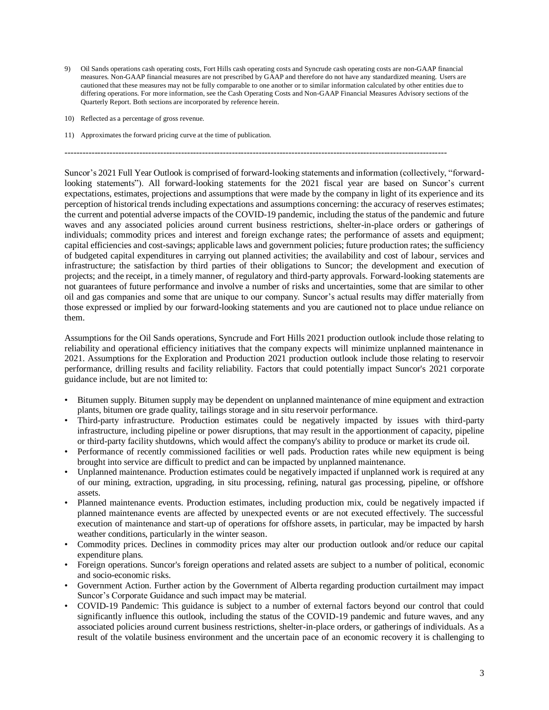- 9) Oil Sands operations cash operating costs, Fort Hills cash operating costs and Syncrude cash operating costs are non-GAAP financial measures. Non-GAAP financial measures are not prescribed by GAAP and therefore do not have any standardized meaning. Users are cautioned that these measures may not be fully comparable to one another or to similar information calculated by other entities due to differing operations. For more information, see the Cash Operating Costs and Non-GAAP Financial Measures Advisory sections of the Quarterly Report. Both sections are incorporated by reference herein.
- 10) Reflected as a percentage of gross revenue.
- 11) Approximates the forward pricing curve at the time of publication.

--------------------------------------------------------------------------------------------------------------------------------

Suncor's 2021 Full Year Outlook is comprised of forward-looking statements and information (collectively, "forwardlooking statements"). All forward-looking statements for the 2021 fiscal year are based on Suncor's current expectations, estimates, projections and assumptions that were made by the company in light of its experience and its perception of historical trends including expectations and assumptions concerning: the accuracy of reserves estimates; the current and potential adverse impacts of the COVID-19 pandemic, including the status of the pandemic and future waves and any associated policies around current business restrictions, shelter-in-place orders or gatherings of individuals; commodity prices and interest and foreign exchange rates; the performance of assets and equipment; capital efficiencies and cost-savings; applicable laws and government policies; future production rates; the sufficiency of budgeted capital expenditures in carrying out planned activities; the availability and cost of labour, services and infrastructure; the satisfaction by third parties of their obligations to Suncor; the development and execution of projects; and the receipt, in a timely manner, of regulatory and third-party approvals. Forward-looking statements are not guarantees of future performance and involve a number of risks and uncertainties, some that are similar to other oil and gas companies and some that are unique to our company. Suncor's actual results may differ materially from those expressed or implied by our forward-looking statements and you are cautioned not to place undue reliance on them.

Assumptions for the Oil Sands operations, Syncrude and Fort Hills 2021 production outlook include those relating to reliability and operational efficiency initiatives that the company expects will minimize unplanned maintenance in 2021. Assumptions for the Exploration and Production 2021 production outlook include those relating to reservoir performance, drilling results and facility reliability. Factors that could potentially impact Suncor's 2021 corporate guidance include, but are not limited to:

- Bitumen supply. Bitumen supply may be dependent on unplanned maintenance of mine equipment and extraction plants, bitumen ore grade quality, tailings storage and in situ reservoir performance.
- Third-party infrastructure. Production estimates could be negatively impacted by issues with third-party infrastructure, including pipeline or power disruptions, that may result in the apportionment of capacity, pipeline or third-party facility shutdowns, which would affect the company's ability to produce or market its crude oil.
- Performance of recently commissioned facilities or well pads. Production rates while new equipment is being brought into service are difficult to predict and can be impacted by unplanned maintenance.
- Unplanned maintenance. Production estimates could be negatively impacted if unplanned work is required at any of our mining, extraction, upgrading, in situ processing, refining, natural gas processing, pipeline, or offshore assets.
- Planned maintenance events. Production estimates, including production mix, could be negatively impacted if planned maintenance events are affected by unexpected events or are not executed effectively. The successful execution of maintenance and start-up of operations for offshore assets, in particular, may be impacted by harsh weather conditions, particularly in the winter season.
- Commodity prices. Declines in commodity prices may alter our production outlook and/or reduce our capital expenditure plans.
- Foreign operations. Suncor's foreign operations and related assets are subject to a number of political, economic and socio-economic risks.
- Government Action. Further action by the Government of Alberta regarding production curtailment may impact Suncor's Corporate Guidance and such impact may be material.
- COVID-19 Pandemic: This guidance is subject to a number of external factors beyond our control that could significantly influence this outlook, including the status of the COVID-19 pandemic and future waves, and any associated policies around current business restrictions, shelter-in-place orders, or gatherings of individuals. As a result of the volatile business environment and the uncertain pace of an economic recovery it is challenging to